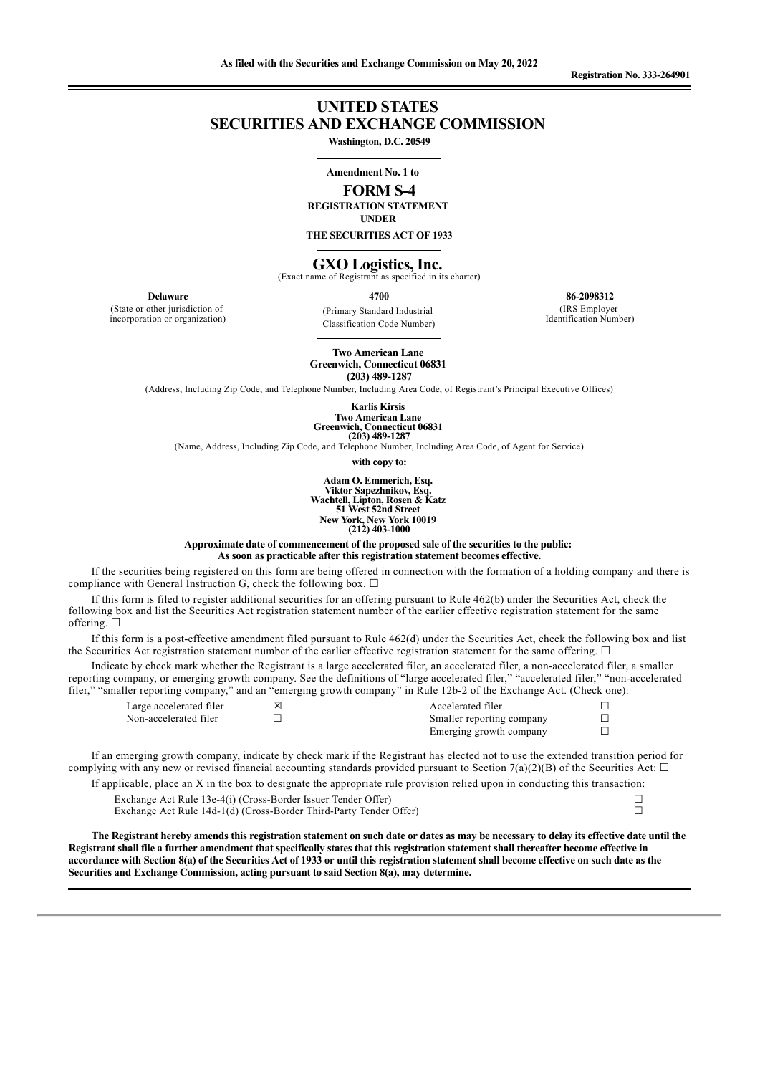# **UNITED STATES SECURITIES AND EXCHANGE COMMISSION**

**Washington, D.C. 20549**

## **Amendment No. 1 to FORM S-4**

**REGISTRATION STATEMENT**

**UNDER**

**THE SECURITIES ACT OF 1933**

# **GXO Logistics, Inc.** (Exact name of Registrant as specified in its charter)

**Delaware**

(State or other jurisdiction of incorporation or organization)

**4700** (Primary Standard Industrial Classification Code Number)

**86-2098312** (IRS Employer Identification Number)

**Two American Lane Greenwich, Connecticut 06831 (203) 489-1287**

(Address, Including Zip Code, and Telephone Number, Including Area Code, of Registrant's Principal Executive Offices)

**Karlis Kirsis Two American Lane Greenwich, Connecticut 06831 (203) 489-1287**

(Name, Address, Including Zip Code, and Telephone Number, Including Area Code, of Agent for Service)

**with copy to:**

**Adam O. Emmerich, Esq. Viktor Sapezhnikov, Esq. Wachtell, Lipton, Rosen & Katz 51 West 52nd Street New York, New York 10019 (212) 403-1000**

**Approximate date of commencement of the proposed sale of the securities to the public: As soon as practicable after this registration statement becomes effective.**

If the securities being registered on this form are being offered in connection with the formation of a holding company and there is compliance with General Instruction G, check the following box.  $\Box$ 

If this form is filed to register additional securities for an offering pursuant to Rule 462(b) under the Securities Act, check the following box and list the Securities Act registration statement number of the earlier effective registration statement for the same offering. □

If this form is a post-effective amendment filed pursuant to Rule 462(d) under the Securities Act, check the following box and list the Securities Act registration statement number of the earlier effective registration statement for the same offering.  $\Box$ 

Indicate by check mark whether the Registrant is a large accelerated filer, an accelerated filer, a non-accelerated filer, a smaller reporting company, or emerging growth company. See the definitions of "large accelerated filer," "accelerated filer," "non-accelerated filer," "smaller reporting company," and an "emerging growth company" in Rule 12b-2 of the Exchange Act. (Check one):

| Large accelerated filer | ⊠ | Accelerated filer         |  |
|-------------------------|---|---------------------------|--|
| Non-accelerated filer   |   | Smaller reporting company |  |
|                         |   | Emerging growth company   |  |

If an emerging growth company, indicate by check mark if the Registrant has elected not to use the extended transition period for complying with any new or revised financial accounting standards provided pursuant to Section 7(a)(2)(B) of the Securities Act:  $\Box$ 

If applicable, place an  $X$  in the box to designate the appropriate rule provision relied upon in conducting this transaction: Exchange Act Rule 13e-4(i) (Cross-Border Issuer Tender Offer) <br>Exchange Act Rule 14d-1(d) (Cross-Border Third-Party Tender Offer) □ Exchange Act Rule 14d-1(d) (Cross-Border Third-Party Tender Offer)

The Registrant hereby amends this registration statement on such date or dates as may be necessary to delay its effective date until the Registrant shall file a further amendment that specifically states that this registration statement shall thereafter become effective in accordance with Section 8(a) of the Securities Act of 1933 or until this registration statement shall become effective on such date as the **Securities and Exchange Commission, acting pursuant to said Section 8(a), may determine.**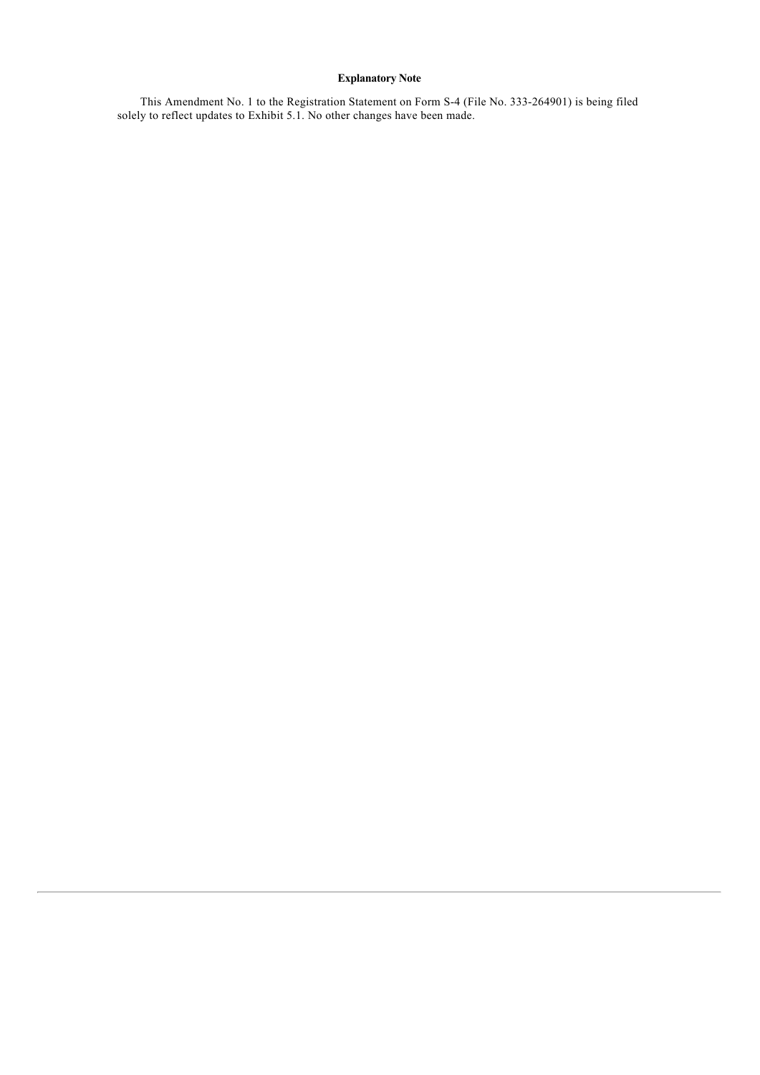## **Explanatory Note**

This Amendment No. 1 to the Registration Statement on Form S-4 (File No. 333-264901) is being filed solely to reflect updates to Exhibit 5.1. No other changes have been made.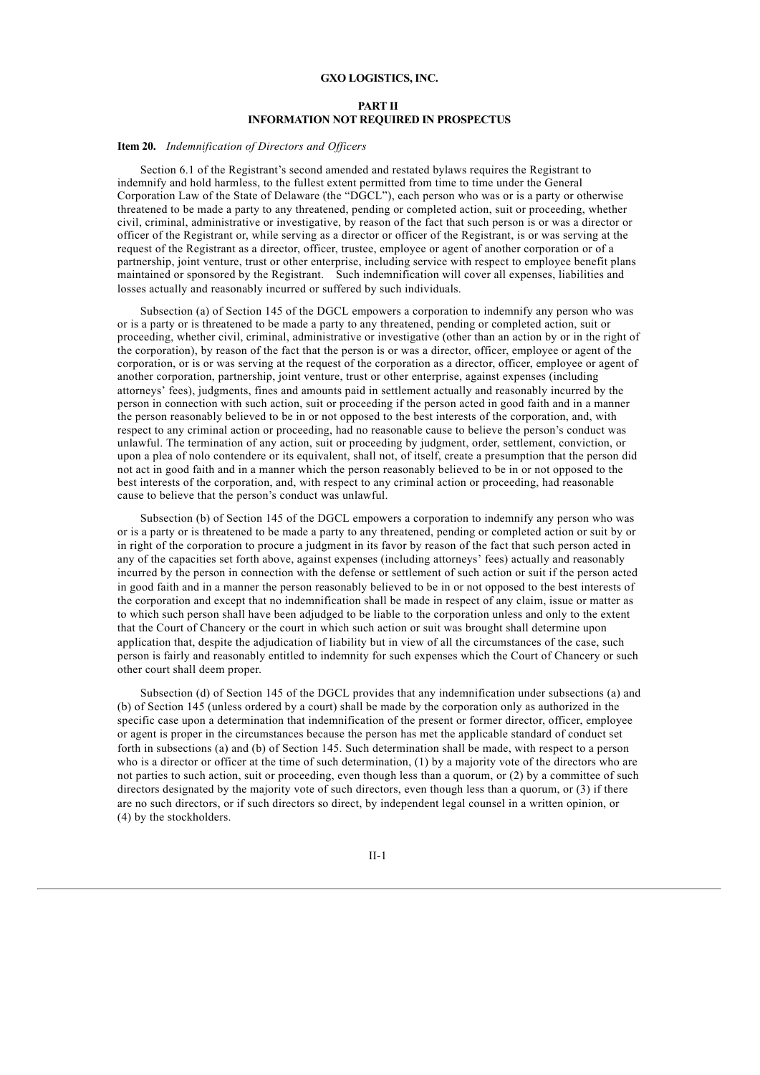#### **GXO LOGISTICS, INC.**

#### **PART II INFORMATION NOT REQUIRED IN PROSPECTUS**

#### **Item 20.** *Indemnification of Directors and Of icers*

Section 6.1 of the Registrant's second amended and restated bylaws requires the Registrant to indemnify and hold harmless, to the fullest extent permitted from time to time under the General Corporation Law of the State of Delaware (the "DGCL"), each person who was or is a party or otherwise threatened to be made a party to any threatened, pending or completed action, suit or proceeding, whether civil, criminal, administrative or investigative, by reason of the fact that such person is or was a director or officer of the Registrant or, while serving as a director or officer of the Registrant, is or was serving at the request of the Registrant as a director, officer, trustee, employee or agent of another corporation or of a partnership, joint venture, trust or other enterprise, including service with respect to employee benefit plans maintained or sponsored by the Registrant. Such indemnification will cover all expenses, liabilities and losses actually and reasonably incurred or suffered by such individuals.

Subsection (a) of Section 145 of the DGCL empowers a corporation to indemnify any person who was or is a party or is threatened to be made a party to any threatened, pending or completed action, suit or proceeding, whether civil, criminal, administrative or investigative (other than an action by or in the right of the corporation), by reason of the fact that the person is or was a director, officer, employee or agent of the corporation, or is or was serving at the request of the corporation as a director, officer, employee or agent of another corporation, partnership, joint venture, trust or other enterprise, against expenses (including attorneys' fees), judgments, fines and amounts paid in settlement actually and reasonably incurred by the person in connection with such action, suit or proceeding if the person acted in good faith and in a manner the person reasonably believed to be in or not opposed to the best interests of the corporation, and, with respect to any criminal action or proceeding, had no reasonable cause to believe the person's conduct was unlawful. The termination of any action, suit or proceeding by judgment, order, settlement, conviction, or upon a plea of nolo contendere or its equivalent, shall not, of itself, create a presumption that the person did not act in good faith and in a manner which the person reasonably believed to be in or not opposed to the best interests of the corporation, and, with respect to any criminal action or proceeding, had reasonable cause to believe that the person's conduct was unlawful.

Subsection (b) of Section 145 of the DGCL empowers a corporation to indemnify any person who was or is a party or is threatened to be made a party to any threatened, pending or completed action or suit by or in right of the corporation to procure a judgment in its favor by reason of the fact that such person acted in any of the capacities set forth above, against expenses (including attorneys' fees) actually and reasonably incurred by the person in connection with the defense or settlement of such action or suit if the person acted in good faith and in a manner the person reasonably believed to be in or not opposed to the best interests of the corporation and except that no indemnification shall be made in respect of any claim, issue or matter as to which such person shall have been adjudged to be liable to the corporation unless and only to the extent that the Court of Chancery or the court in which such action or suit was brought shall determine upon application that, despite the adjudication of liability but in view of all the circumstances of the case, such person is fairly and reasonably entitled to indemnity for such expenses which the Court of Chancery or such other court shall deem proper.

Subsection (d) of Section 145 of the DGCL provides that any indemnification under subsections (a) and (b) of Section 145 (unless ordered by a court) shall be made by the corporation only as authorized in the specific case upon a determination that indemnification of the present or former director, officer, employee or agent is proper in the circumstances because the person has met the applicable standard of conduct set forth in subsections (a) and (b) of Section 145. Such determination shall be made, with respect to a person who is a director or officer at the time of such determination, (1) by a majority vote of the directors who are not parties to such action, suit or proceeding, even though less than a quorum, or (2) by a committee of such directors designated by the majority vote of such directors, even though less than a quorum, or (3) if there are no such directors, or if such directors so direct, by independent legal counsel in a written opinion, or (4) by the stockholders.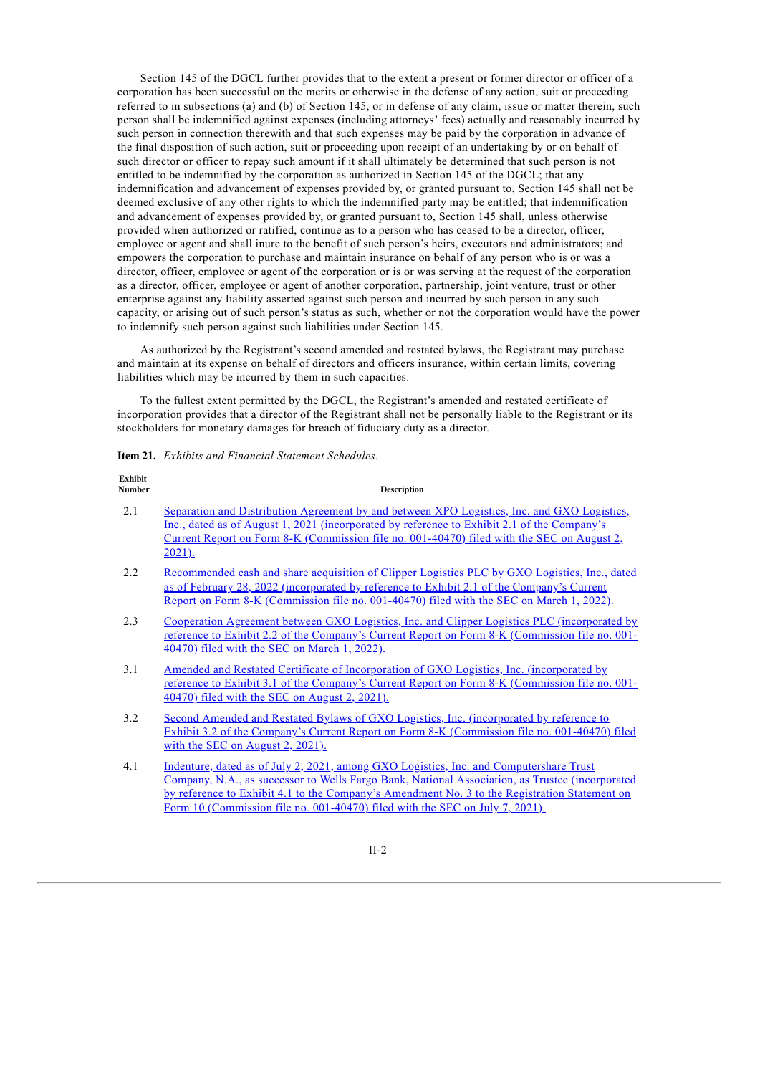Section 145 of the DGCL further provides that to the extent a present or former director or officer of a corporation has been successful on the merits or otherwise in the defense of any action, suit or proceeding referred to in subsections (a) and (b) of Section 145, or in defense of any claim, issue or matter therein, such person shall be indemnified against expenses (including attorneys' fees) actually and reasonably incurred by such person in connection therewith and that such expenses may be paid by the corporation in advance of the final disposition of such action, suit or proceeding upon receipt of an undertaking by or on behalf of such director or officer to repay such amount if it shall ultimately be determined that such person is not entitled to be indemnified by the corporation as authorized in Section 145 of the DGCL; that any indemnification and advancement of expenses provided by, or granted pursuant to, Section 145 shall not be deemed exclusive of any other rights to which the indemnified party may be entitled; that indemnification and advancement of expenses provided by, or granted pursuant to, Section 145 shall, unless otherwise provided when authorized or ratified, continue as to a person who has ceased to be a director, officer, employee or agent and shall inure to the benefit of such person's heirs, executors and administrators; and empowers the corporation to purchase and maintain insurance on behalf of any person who is or was a director, officer, employee or agent of the corporation or is or was serving at the request of the corporation as a director, officer, employee or agent of another corporation, partnership, joint venture, trust or other enterprise against any liability asserted against such person and incurred by such person in any such capacity, or arising out of such person's status as such, whether or not the corporation would have the power to indemnify such person against such liabilities under Section 145.

As authorized by the Registrant's second amended and restated bylaws, the Registrant may purchase and maintain at its expense on behalf of directors and officers insurance, within certain limits, covering liabilities which may be incurred by them in such capacities.

To the fullest extent permitted by the DGCL, the Registrant's amended and restated certificate of incorporation provides that a director of the Registrant shall not be personally liable to the Registrant or its stockholders for monetary damages for breach of fiduciary duty as a director.

**Item 21.** *Exhibits and Financial Statement Schedules.*

| <b>Exhibit</b><br>Number | <b>Description</b>                                                                                                                                                                                                                                                                                                                                                         |  |
|--------------------------|----------------------------------------------------------------------------------------------------------------------------------------------------------------------------------------------------------------------------------------------------------------------------------------------------------------------------------------------------------------------------|--|
| 2.1                      | <u>Separation and Distribution Agreement by and between XPO Logistics, Inc. and GXO Logistics,</u><br>Inc., dated as of August 1, 2021 (incorporated by reference to Exhibit 2.1 of the Company's<br>Current Report on Form 8-K (Commission file no. 001-40470) filed with the SEC on August 2,<br>$2021$ ).                                                               |  |
| 2.2                      | Recommended cash and share acquisition of Clipper Logistics PLC by GXO Logistics, Inc., dated<br>as of February 28, 2022 (incorporated by reference to Exhibit 2.1 of the Company's Current<br><u>Report on Form 8-K (Commission file no. 001-40470) filed with the SEC on March 1, 2022).</u>                                                                             |  |
| 2.3                      | Cooperation Agreement between GXO Logistics, Inc. and Clipper Logistics PLC (incorporated by<br>reference to Exhibit 2.2 of the Company's Current Report on Form 8-K (Commission file no. 001-<br>40470) filed with the SEC on March 1, 2022).                                                                                                                             |  |
| 3.1                      | <u>Amended and Restated Certificate of Incorporation of GXO Logistics, Inc. (incorporated by</u><br>reference to Exhibit 3.1 of the Company's Current Report on Form 8-K (Commission file no. 001-<br>40470) filed with the SEC on August 2, 2021).                                                                                                                        |  |
| 3.2                      | Second Amended and Restated Bylaws of GXO Logistics, Inc. (incorporated by reference to<br>Exhibit 3.2 of the Company's Current Report on Form 8-K (Commission file no. 001-40470) filed<br>with the SEC on August 2, 2021).                                                                                                                                               |  |
| 4.1                      | Indenture, dated as of July 2, 2021, among GXO Logistics, Inc. and Computershare Trust<br>Company, N.A., as successor to Wells Fargo Bank, National Association, as Trustee (incorporated<br>by reference to Exhibit 4.1 to the Company's Amendment No. 3 to the Registration Statement on<br>Form 10 (Commission file no. 001-40470) filed with the SEC on July 7, 2021). |  |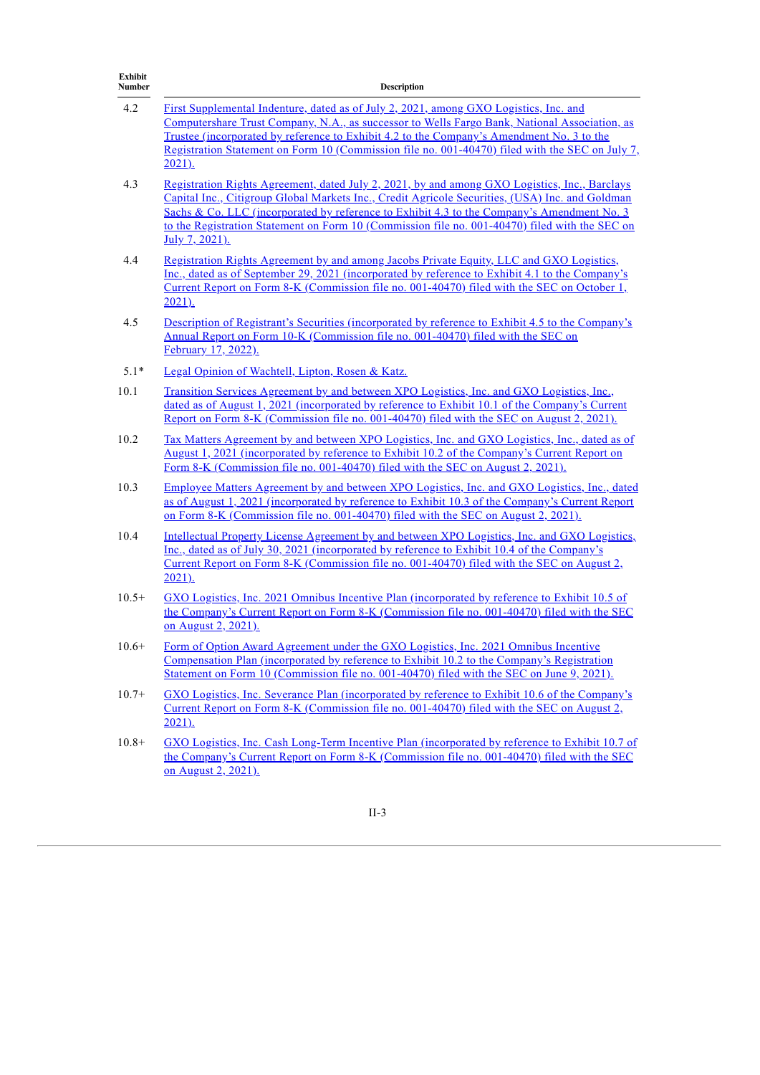| <b>Exhibit</b><br>Number | <b>Description</b><br>First Supplemental Indenture, dated as of July 2, 2021, among GXO Logistics, Inc. and<br>Computershare Trust Company, N.A., as successor to Wells Fargo Bank, National Association, as<br><u>Trustee (incorporated by reference to Exhibit 4.2 to the Company's Amendment No. 3 to the</u><br>Registration Statement on Form 10 (Commission file no. 001-40470) filed with the SEC on July 7,<br>$2021$ ). |  |
|--------------------------|----------------------------------------------------------------------------------------------------------------------------------------------------------------------------------------------------------------------------------------------------------------------------------------------------------------------------------------------------------------------------------------------------------------------------------|--|
| 4.2                      |                                                                                                                                                                                                                                                                                                                                                                                                                                  |  |
| 4.3                      | Registration Rights Agreement, dated July 2, 2021, by and among GXO Logistics, Inc., Barclays<br>Capital Inc., Citigroup Global Markets Inc., Credit Agricole Securities, (USA) Inc. and Goldman<br>Sachs & Co. LLC (incorporated by reference to Exhibit 4.3 to the Company's Amendment No. 3<br>to the Registration Statement on Form 10 (Commission file no. 001-40470) filed with the SEC on<br>July 7, 2021).               |  |
| 4.4                      | Registration Rights Agreement by and among Jacobs Private Equity, LLC and GXO Logistics,<br>Inc., dated as of September 29, 2021 (incorporated by reference to Exhibit 4.1 to the Company's<br>Current Report on Form 8-K (Commission file no. 001-40470) filed with the SEC on October 1,<br>$2021$ ).                                                                                                                          |  |
| 4.5                      | Description of Registrant's Securities (incorporated by reference to Exhibit 4.5 to the Company's<br>Annual Report on Form 10-K (Commission file no. 001-40470) filed with the SEC on<br>February 17, 2022).                                                                                                                                                                                                                     |  |
| $5.1*$                   | Legal Opinion of Wachtell, Lipton, Rosen & Katz.                                                                                                                                                                                                                                                                                                                                                                                 |  |
| 10.1                     | <u>Transition Services Agreement by and between XPO Logistics, Inc. and GXO Logistics, Inc.,</u><br>dated as of August 1, 2021 (incorporated by reference to Exhibit 10.1 of the Company's Current<br>Report on Form 8-K (Commission file no. 001-40470) filed with the SEC on August 2, 2021).                                                                                                                                  |  |
| 10.2                     | <u>Tax Matters Agreement by and between XPO Logistics, Inc. and GXO Logistics, Inc., dated as of</u><br><u>August 1, 2021 (incorporated by reference to Exhibit 10.2 of the Company's Current Report on</u><br>Form 8-K (Commission file no. 001-40470) filed with the SEC on August 2, 2021).                                                                                                                                   |  |
| 10.3                     | Employee Matters Agreement by and between XPO Logistics, Inc. and GXO Logistics, Inc., dated<br>as of August 1, 2021 (incorporated by reference to Exhibit 10.3 of the Company's Current Report<br>on Form 8-K (Commission file no. 001-40470) filed with the SEC on August 2, 2021).                                                                                                                                            |  |
| 10.4                     | Intellectual Property License Agreement by and between XPO Logistics, Inc. and GXO Logistics,<br><u>Inc., dated as of July 30, 2021 (incorporated by reference to Exhibit 10.4 of the Company's</u><br>Current Report on Form 8-K (Commission file no. 001-40470) filed with the SEC on August 2,<br>$2021$ ).                                                                                                                   |  |
| $10.5+$                  | GXO Logistics, Inc. 2021 Omnibus Incentive Plan (incorporated by reference to Exhibit 10.5 of<br>the Company's Current Report on Form 8-K (Commission file no. 001-40470) filed with the SEC<br>on August 2, 2021).                                                                                                                                                                                                              |  |
| $10.6+$                  | Form of Option Award Agreement under the GXO Logistics, Inc. 2021 Omnibus Incentive<br>Compensation Plan (incorporated by reference to Exhibit 10.2 to the Company's Registration<br>Statement on Form 10 (Commission file no. 001-40470) filed with the SEC on June 9, 2021).                                                                                                                                                   |  |
| $10.7+$                  | GXO Logistics, Inc. Severance Plan (incorporated by reference to Exhibit 10.6 of the Company's<br>Current Report on Form 8-K (Commission file no. 001-40470) filed with the SEC on August 2,<br>$2021$ ).                                                                                                                                                                                                                        |  |
| $10.8+$                  | GXO Logistics, Inc. Cash Long-Term Incentive Plan (incorporated by reference to Exhibit 10.7 of<br>the Company's Current Report on Form 8-K (Commission file no. 001-40470) filed with the SEC<br>on August 2, 2021).                                                                                                                                                                                                            |  |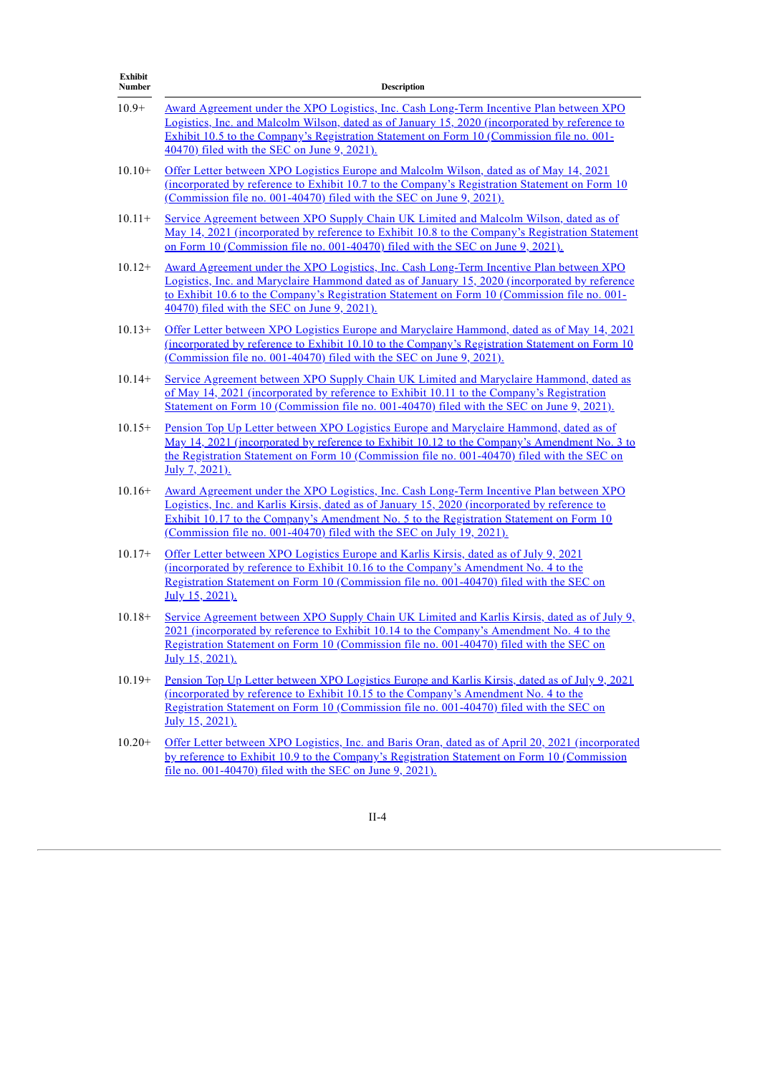| <b>Exhibit</b><br>Number | <b>Description</b>                                                                                                                                                                                                                                                                                                                                                  |  |
|--------------------------|---------------------------------------------------------------------------------------------------------------------------------------------------------------------------------------------------------------------------------------------------------------------------------------------------------------------------------------------------------------------|--|
| $10.9+$                  | <u>Award Agreement under the XPO Logistics, Inc. Cash Long-Term Incentive Plan between XPO</u><br>Logistics, Inc. and Malcolm Wilson, dated as of January 15, 2020 (incorporated by reference to<br>Exhibit 10.5 to the Company's Registration Statement on Form 10 (Commission file no. 001-<br>40470) filed with the SEC on June 9, 2021).                        |  |
| $10.10+$                 | <u>Offer Letter between XPO Logistics Europe and Malcolm Wilson, dated as of May 14, 2021</u><br><u>(incorporated by reference to Exhibit 10.7 to the Company's Registration Statement on Form 10</u><br>(Commission file no. 001-40470) filed with the SEC on June 9, 2021).                                                                                       |  |
| $10.11+$                 | Service Agreement between XPO Supply Chain UK Limited and Malcolm Wilson, dated as of<br>May 14, 2021 (incorporated by reference to Exhibit 10.8 to the Company's Registration Statement<br>on Form 10 (Commission file no. 001-40470) filed with the SEC on June 9, 2021).                                                                                         |  |
| $10.12+$                 | <u>Award Agreement under the XPO Logistics, Inc. Cash Long-Term Incentive Plan between XPO</u><br>Logistics, Inc. and Maryclaire Hammond dated as of January 15, 2020 (incorporated by reference<br>to Exhibit 10.6 to the Company's Registration Statement on Form 10 (Commission file no. 001-<br>40470) filed with the SEC on June 9, 2021).                     |  |
| $10.13+$                 | Offer Letter between XPO Logistics Europe and Maryclaire Hammond, dated as of May 14, 2021<br><u>(incorporated by reference to Exhibit 10.10 to the Company's Registration Statement on Form 10</u><br>(Commission file no. 001-40470) filed with the SEC on June 9, 2021).                                                                                         |  |
| $10.14+$                 | Service Agreement between XPO Supply Chain UK Limited and Maryclaire Hammond, dated as<br>of May 14, 2021 (incorporated by reference to Exhibit 10.11 to the Company's Registration<br>Statement on Form 10 (Commission file no. 001-40470) filed with the SEC on June 9, 2021).                                                                                    |  |
| $10.15+$                 | Pension Top Up Letter between XPO Logistics Europe and Maryclaire Hammond, dated as of<br><u>May 14, 2021 (incorporated by reference to Exhibit 10.12 to the Company's Amendment No. 3 to</u><br>the Registration Statement on Form 10 (Commission file no. 001-40470) filed with the SEC on<br>July 7, 2021).                                                      |  |
| $10.16+$                 | <u>Award Agreement under the XPO Logistics, Inc. Cash Long-Term Incentive Plan between XPO</u><br>Logistics, Inc. and Karlis Kirsis, dated as of January 15, 2020 (incorporated by reference to<br>Exhibit 10.17 to the Company's Amendment No. 5 to the Registration Statement on Form 10<br>(Commission file no. 001-40470) filed with the SEC on July 19, 2021). |  |
| $10.17+$                 | Offer Letter between XPO Logistics Europe and Karlis Kirsis, dated as of July 9, 2021<br><u>(incorporated by reference to Exhibit 10.16 to the Company's Amendment No. 4 to the</u><br>Registration Statement on Form 10 (Commission file no. 001-40470) filed with the SEC on<br>July 15, 2021).                                                                   |  |
| $10.18+$                 | Service Agreement between XPO Supply Chain UK Limited and Karlis Kirsis, dated as of July 9,<br>2021 (incorporated by reference to Exhibit 10.14 to the Company's Amendment No. 4 to the<br>Registration Statement on Form 10 (Commission file no. 001-40470) filed with the SEC on<br>July 15, 2021).                                                              |  |
| $10.19+$                 | Pension Top Up Letter between XPO Logistics Europe and Karlis Kirsis, dated as of July 9, 2021<br>(incorporated by reference to Exhibit 10.15 to the Company's Amendment No. 4 to the<br>Registration Statement on Form 10 (Commission file no. 001-40470) filed with the SEC on<br>July 15, 2021).                                                                 |  |
| $10.20+$                 | Offer Letter between XPO Logistics, Inc. and Baris Oran, dated as of April 20, 2021 (incorporated<br>by reference to Exhibit 10.9 to the Company's Registration Statement on Form 10 (Commission<br>file no. 001-40470) filed with the SEC on June 9, 2021).                                                                                                        |  |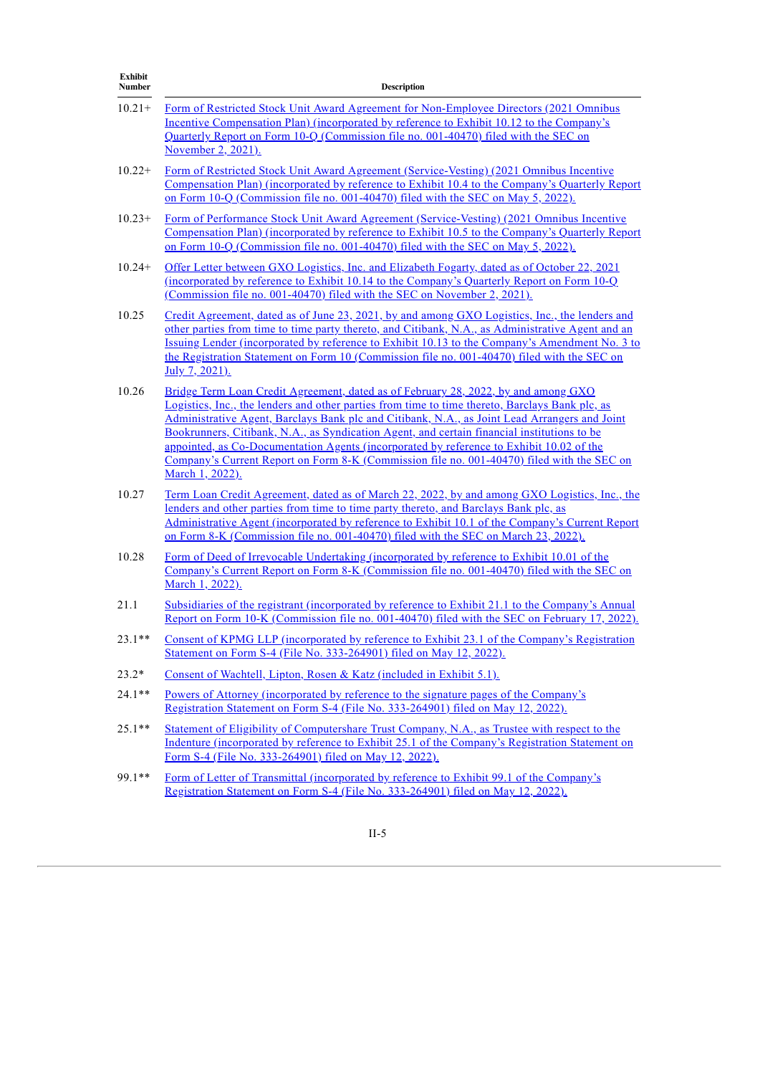| <b>Exhibit</b><br>Number | <b>Description</b>                                                                                                                                                                                                                                                                                                                                                                                                                                                                                                                                                                                 |  |
|--------------------------|----------------------------------------------------------------------------------------------------------------------------------------------------------------------------------------------------------------------------------------------------------------------------------------------------------------------------------------------------------------------------------------------------------------------------------------------------------------------------------------------------------------------------------------------------------------------------------------------------|--|
| $10.21+$                 | Form of Restricted Stock Unit Award Agreement for Non-Employee Directors (2021 Omnibus<br><b>Incentive Compensation Plan</b> ) (incorporated by reference to Exhibit 10.12 to the Company's<br>Quarterly Report on Form 10-Q (Commission file no. 001-40470) filed with the SEC on<br>November 2, 2021).                                                                                                                                                                                                                                                                                           |  |
| $10.22+$                 | Form of Restricted Stock Unit Award Agreement (Service-Vesting) (2021 Omnibus Incentive<br>Compensation Plan) (incorporated by reference to Exhibit 10.4 to the Company's Quarterly Report<br>on Form 10-Q (Commission file no. 001-40470) filed with the SEC on May 5, 2022).                                                                                                                                                                                                                                                                                                                     |  |
| $10.23+$                 | Form of Performance Stock Unit Award Agreement (Service-Vesting) (2021 Omnibus Incentive<br>Compensation Plan) (incorporated by reference to Exhibit 10.5 to the Company's Quarterly Report<br>on Form 10-Q (Commission file no. 001-40470) filed with the SEC on May 5, 2022).                                                                                                                                                                                                                                                                                                                    |  |
| $10.24+$                 | Offer Letter between GXO Logistics, Inc. and Elizabeth Fogarty, dated as of October 22, 2021<br><u>(incorporated by reference to Exhibit 10.14 to the Company's Quarterly Report on Form 10-Q</u><br>(Commission file no. 001-40470) filed with the SEC on November 2, 2021).                                                                                                                                                                                                                                                                                                                      |  |
| 10.25                    | Credit Agreement, dated as of June 23, 2021, by and among GXO Logistics, Inc., the lenders and<br>other parties from time to time party thereto, and Citibank, N.A., as Administrative Agent and an<br>Issuing Lender (incorporated by reference to Exhibit 10.13 to the Company's Amendment No. 3 to<br>the Registration Statement on Form 10 (Commission file no. 001-40470) filed with the SEC on<br>July 7, 2021).                                                                                                                                                                             |  |
| 10.26                    | Bridge Term Loan Credit Agreement, dated as of February 28, 2022, by and among GXO<br>Logistics, Inc., the lenders and other parties from time to time thereto, Barclays Bank plc, as<br>Administrative Agent, Barclays Bank plc and Citibank, N.A., as Joint Lead Arrangers and Joint<br>Bookrunners, Citibank, N.A., as Syndication Agent, and certain financial institutions to be<br>appointed, as Co-Documentation Agents (incorporated by reference to Exhibit 10.02 of the<br>Company's Current Report on Form 8-K (Commission file no. 001-40470) filed with the SEC on<br>March 1, 2022). |  |
| 10.27                    | <u>Term Loan Credit Agreement, dated as of March 22, 2022, by and among GXO Logistics, Inc., the</u><br>lenders and other parties from time to time party thereto, and Barclays Bank plc, as<br>Administrative Agent (incorporated by reference to Exhibit 10.1 of the Company's Current Report<br>on Form 8-K (Commission file no. 001-40470) filed with the SEC on March 23, 2022).                                                                                                                                                                                                              |  |
| 10.28                    | Form of Deed of Irrevocable Undertaking (incorporated by reference to Exhibit 10.01 of the<br>Company's Current Report on Form 8-K (Commission file no. 001-40470) filed with the SEC on<br>March 1, 2022).                                                                                                                                                                                                                                                                                                                                                                                        |  |
| 21.1                     | Subsidiaries of the registrant (incorporated by reference to Exhibit 21.1 to the Company's Annual<br>Report on Form 10-K (Commission file no. 001-40470) filed with the SEC on February 17, 2022).                                                                                                                                                                                                                                                                                                                                                                                                 |  |
| $23.1**$                 | Consent of KPMG LLP (incorporated by reference to Exhibit 23.1 of the Company's Registration<br>Statement on Form S-4 (File No. 333-264901) filed on May 12, 2022).                                                                                                                                                                                                                                                                                                                                                                                                                                |  |
| $23.2*$                  | Consent of Wachtell, Lipton, Rosen & Katz (included in Exhibit 5.1).                                                                                                                                                                                                                                                                                                                                                                                                                                                                                                                               |  |
| $24.1**$                 | <u>Powers of Attorney (incorporated by reference to the signature pages of the Company's</u><br>Registration Statement on Form S-4 (File No. 333-264901) filed on May 12, 2022).                                                                                                                                                                                                                                                                                                                                                                                                                   |  |
| $25.1**$                 | Statement of Eligibility of Computershare Trust Company, N.A., as Trustee with respect to the<br>Indenture (incorporated by reference to Exhibit 25.1 of the Company's Registration Statement on<br>Form S-4 (File No. 333-264901) filed on May 12, 2022).                                                                                                                                                                                                                                                                                                                                         |  |
| $99.1**$                 | Form of Letter of Transmittal (incorporated by reference to Exhibit 99.1 of the Company's<br>Registration Statement on Form S-4 (File No. 333-264901) filed on May 12, 2022).                                                                                                                                                                                                                                                                                                                                                                                                                      |  |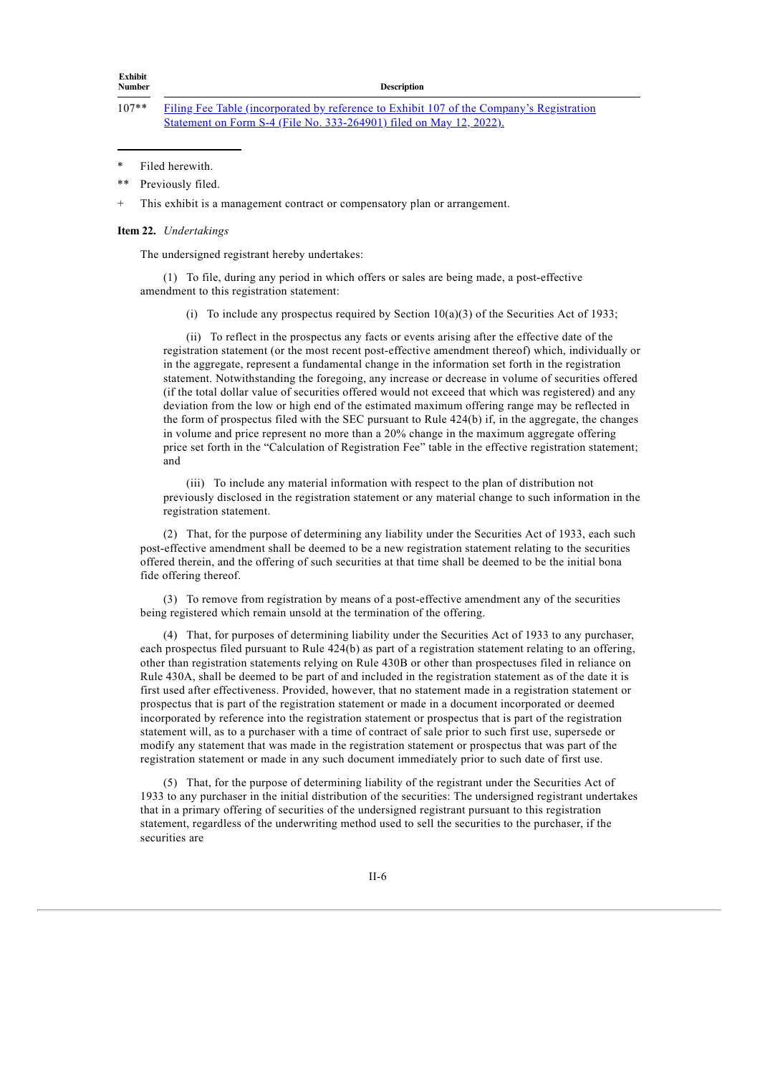**Description** 

+ This exhibit is a management contract or compensatory plan or arrangement.

#### **Item 22.** *Undertakings*

The undersigned registrant hereby undertakes:

(1) To file, during any period in which offers or sales are being made, a post-effective amendment to this registration statement:

(i) To include any prospectus required by Section  $10(a)(3)$  of the Securities Act of 1933;

(ii) To reflect in the prospectus any facts or events arising after the effective date of the registration statement (or the most recent post-effective amendment thereof) which, individually or in the aggregate, represent a fundamental change in the information set forth in the registration statement. Notwithstanding the foregoing, any increase or decrease in volume of securities offered (if the total dollar value of securities offered would not exceed that which was registered) and any deviation from the low or high end of the estimated maximum offering range may be reflected in the form of prospectus filed with the SEC pursuant to Rule 424(b) if, in the aggregate, the changes in volume and price represent no more than a 20% change in the maximum aggregate offering price set forth in the "Calculation of Registration Fee" table in the effective registration statement; and

(iii) To include any material information with respect to the plan of distribution not previously disclosed in the registration statement or any material change to such information in the registration statement.

(2) That, for the purpose of determining any liability under the Securities Act of 1933, each such post-effective amendment shall be deemed to be a new registration statement relating to the securities offered therein, and the offering of such securities at that time shall be deemed to be the initial bona fide offering thereof.

(3) To remove from registration by means of a post-effective amendment any of the securities being registered which remain unsold at the termination of the offering.

(4) That, for purposes of determining liability under the Securities Act of 1933 to any purchaser, each prospectus filed pursuant to Rule 424(b) as part of a registration statement relating to an offering, other than registration statements relying on Rule 430B or other than prospectuses filed in reliance on Rule 430A, shall be deemed to be part of and included in the registration statement as of the date it is first used after effectiveness. Provided, however, that no statement made in a registration statement or prospectus that is part of the registration statement or made in a document incorporated or deemed incorporated by reference into the registration statement or prospectus that is part of the registration statement will, as to a purchaser with a time of contract of sale prior to such first use, supersede or modify any statement that was made in the registration statement or prospectus that was part of the registration statement or made in any such document immediately prior to such date of first use.

(5) That, for the purpose of determining liability of the registrant under the Securities Act of 1933 to any purchaser in the initial distribution of the securities: The undersigned registrant undertakes that in a primary offering of securities of the undersigned registrant pursuant to this registration statement, regardless of the underwriting method used to sell the securities to the purchaser, if the securities are

<sup>107\*\*</sup> Filing Fee Table [\(incorporated](https://www.sec.gov/Archives/edgar/data/1852244/000110465922059569/tm2213978d1_ex-filingfees.htm) by reference to Exhibit 107 of the Company's Registration Statement on Form S-4 (File No. 333-264901) filed on May 12, 2022).

<sup>\*</sup> Filed herewith.

<sup>\*\*</sup> Previously filed.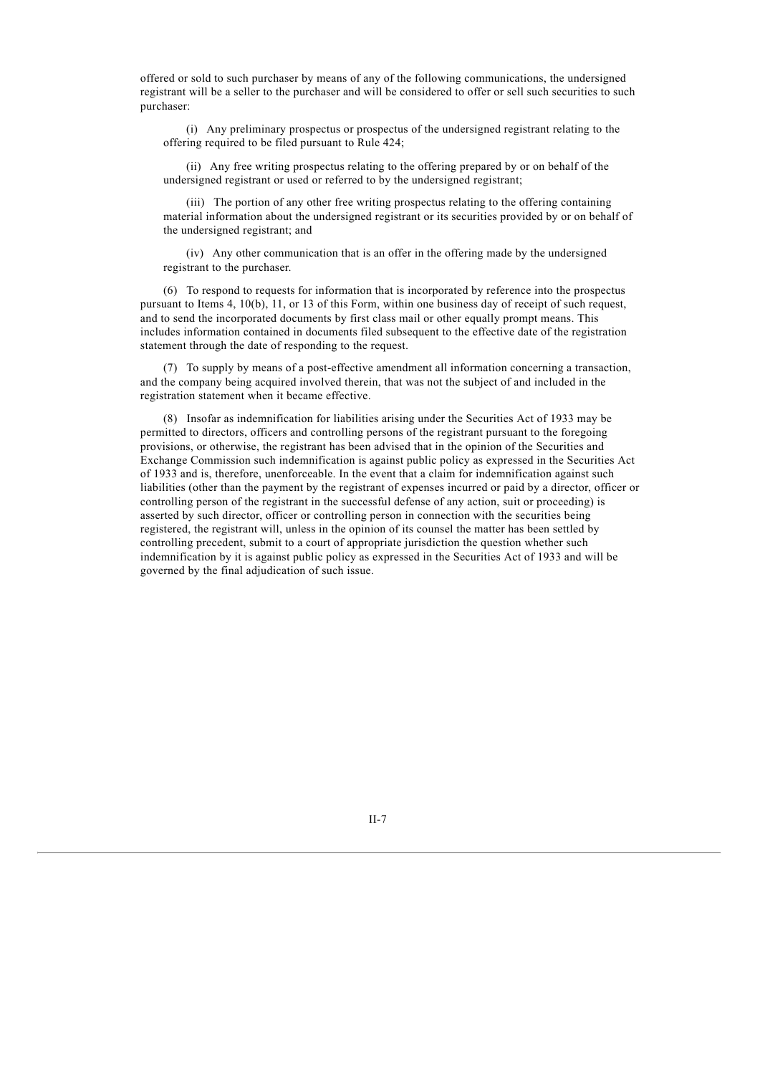offered or sold to such purchaser by means of any of the following communications, the undersigned registrant will be a seller to the purchaser and will be considered to offer or sell such securities to such purchaser:

(i) Any preliminary prospectus or prospectus of the undersigned registrant relating to the offering required to be filed pursuant to Rule 424;

(ii) Any free writing prospectus relating to the offering prepared by or on behalf of the undersigned registrant or used or referred to by the undersigned registrant;

(iii) The portion of any other free writing prospectus relating to the offering containing material information about the undersigned registrant or its securities provided by or on behalf of the undersigned registrant; and

(iv) Any other communication that is an offer in the offering made by the undersigned registrant to the purchaser.

(6) To respond to requests for information that is incorporated by reference into the prospectus pursuant to Items 4, 10(b), 11, or 13 of this Form, within one business day of receipt of such request, and to send the incorporated documents by first class mail or other equally prompt means. This includes information contained in documents filed subsequent to the effective date of the registration statement through the date of responding to the request.

(7) To supply by means of a post-effective amendment all information concerning a transaction, and the company being acquired involved therein, that was not the subject of and included in the registration statement when it became effective.

(8) Insofar as indemnification for liabilities arising under the Securities Act of 1933 may be permitted to directors, officers and controlling persons of the registrant pursuant to the foregoing provisions, or otherwise, the registrant has been advised that in the opinion of the Securities and Exchange Commission such indemnification is against public policy as expressed in the Securities Act of 1933 and is, therefore, unenforceable. In the event that a claim for indemnification against such liabilities (other than the payment by the registrant of expenses incurred or paid by a director, officer or controlling person of the registrant in the successful defense of any action, suit or proceeding) is asserted by such director, officer or controlling person in connection with the securities being registered, the registrant will, unless in the opinion of its counsel the matter has been settled by controlling precedent, submit to a court of appropriate jurisdiction the question whether such indemnification by it is against public policy as expressed in the Securities Act of 1933 and will be governed by the final adjudication of such issue.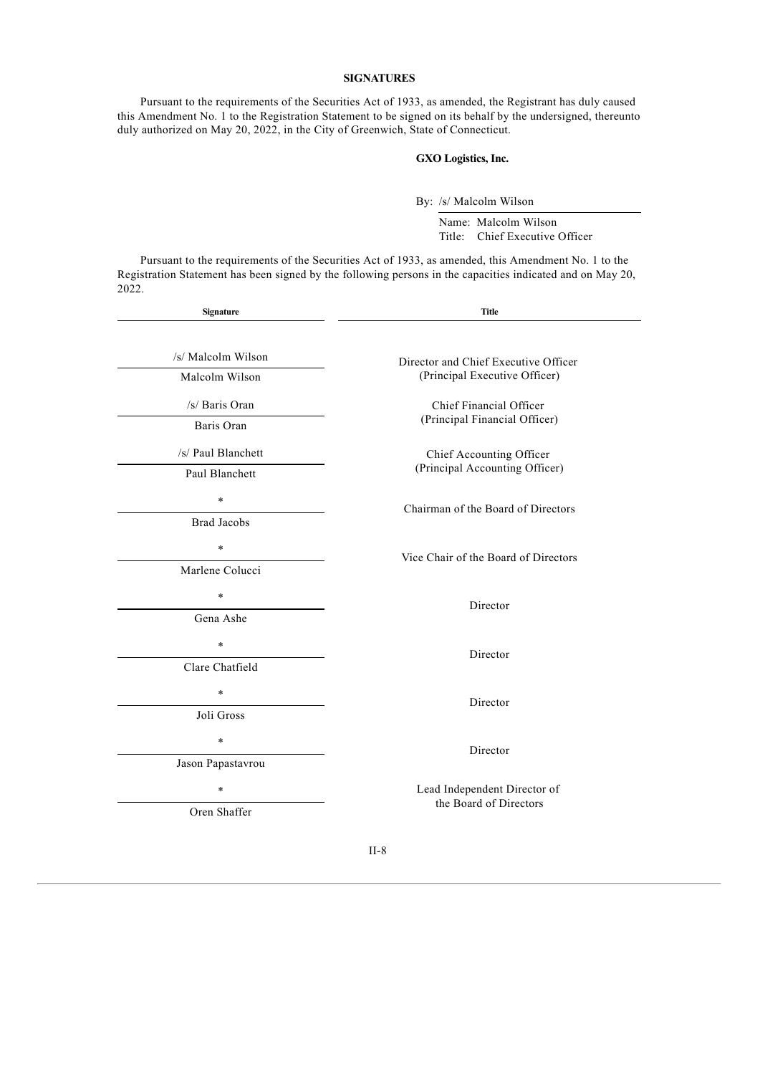### **SIGNATURES**

Pursuant to the requirements of the Securities Act of 1933, as amended, the Registrant has duly caused this Amendment No. 1 to the Registration Statement to be signed on its behalf by the undersigned, thereunto duly authorized on May 20, 2022, in the City of Greenwich, State of Connecticut.

#### **GXO Logistics, Inc.**

By: /s/ Malcolm Wilson

Name: Malcolm Wilson Title: Chief Executive Officer

Pursuant to the requirements of the Securities Act of 1933, as amended, this Amendment No. 1 to the Registration Statement has been signed by the following persons in the capacities indicated and on May 20, 2022.

| Signature          | Title                                |  |
|--------------------|--------------------------------------|--|
| /s/ Malcolm Wilson | Director and Chief Executive Officer |  |
| Malcolm Wilson     | (Principal Executive Officer)        |  |
| /s/ Baris Oran     | Chief Financial Officer              |  |
| Baris Oran         | (Principal Financial Officer)        |  |
| /s/ Paul Blanchett | Chief Accounting Officer             |  |
| Paul Blanchett     | (Principal Accounting Officer)       |  |
| $\star$            | Chairman of the Board of Directors   |  |
| <b>Brad Jacobs</b> |                                      |  |
| $\ast$             | Vice Chair of the Board of Directors |  |
| Marlene Colucci    |                                      |  |
| $\star$            | Director                             |  |
| Gena Ashe          |                                      |  |
| $\ast$             | Director                             |  |
| Clare Chatfield    |                                      |  |
| $\ast$             | Director                             |  |
| Joli Gross         |                                      |  |
| $\ast$             | Director                             |  |
| Jason Papastavrou  |                                      |  |
| $\ast$             | Lead Independent Director of         |  |
|                    | the Board of Directors               |  |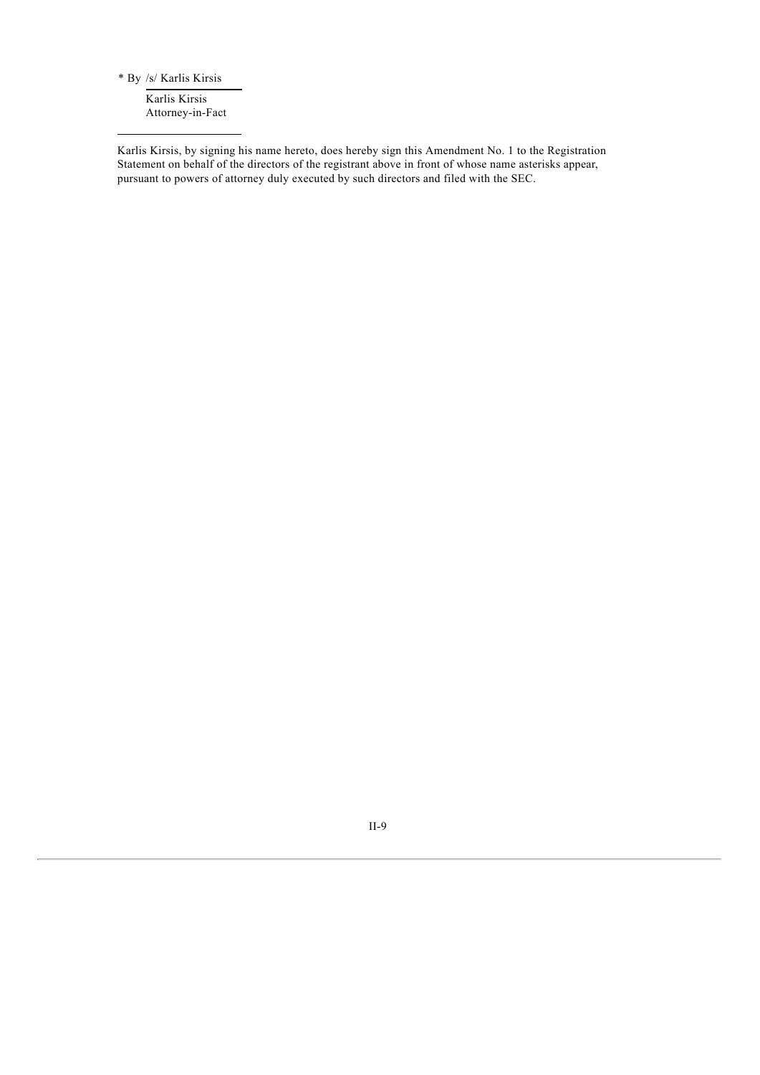\* By /s/ Karlis Kirsis

Karlis Kirsis Attorney-in-Fact

Karlis Kirsis, by signing his name hereto, does hereby sign this Amendment No. 1 to the Registration Statement on behalf of the directors of the registrant above in front of whose name asterisks appear, pursuant to powers of attorney duly executed by such directors and filed with the SEC.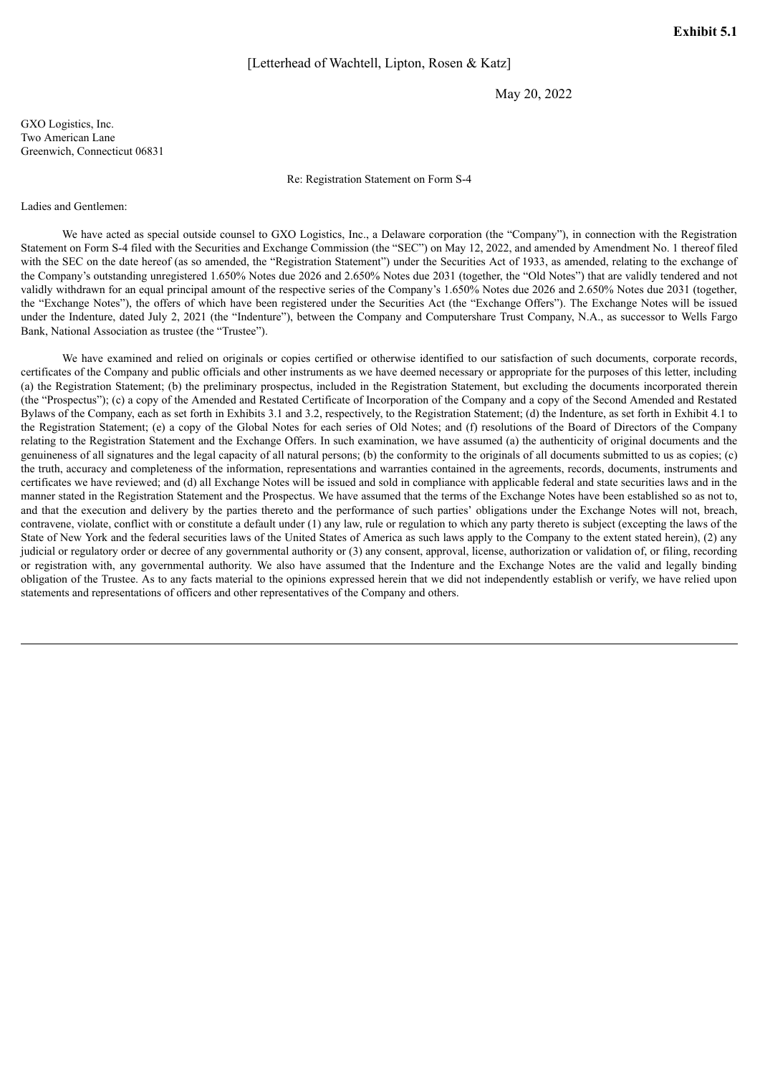May 20, 2022

<span id="page-11-0"></span>GXO Logistics, Inc. Two American Lane Greenwich, Connecticut 06831

Re: Registration Statement on Form S-4

#### Ladies and Gentlemen:

We have acted as special outside counsel to GXO Logistics, Inc., a Delaware corporation (the "Company"), in connection with the Registration Statement on Form S-4 filed with the Securities and Exchange Commission (the "SEC") on May 12, 2022, and amended by Amendment No. 1 thereof filed with the SEC on the date hereof (as so amended, the "Registration Statement") under the Securities Act of 1933, as amended, relating to the exchange of the Company's outstanding unregistered 1.650% Notes due 2026 and 2.650% Notes due 2031 (together, the "Old Notes") that are validly tendered and not validly withdrawn for an equal principal amount of the respective series of the Company's 1.650% Notes due 2026 and 2.650% Notes due 2031 (together, the "Exchange Notes"), the offers of which have been registered under the Securities Act (the "Exchange Offers"). The Exchange Notes will be issued under the Indenture, dated July 2, 2021 (the "Indenture"), between the Company and Computershare Trust Company, N.A., as successor to Wells Fargo Bank, National Association as trustee (the "Trustee").

We have examined and relied on originals or copies certified or otherwise identified to our satisfaction of such documents, corporate records, certificates of the Company and public officials and other instruments as we have deemed necessary or appropriate for the purposes of this letter, including (a) the Registration Statement; (b) the preliminary prospectus, included in the Registration Statement, but excluding the documents incorporated therein (the "Prospectus"); (c) a copy of the Amended and Restated Certificate of Incorporation of the Company and a copy of the Second Amended and Restated Bylaws of the Company, each as set forth in Exhibits 3.1 and 3.2, respectively, to the Registration Statement; (d) the Indenture, as set forth in Exhibit 4.1 to the Registration Statement; (e) a copy of the Global Notes for each series of Old Notes; and (f) resolutions of the Board of Directors of the Company relating to the Registration Statement and the Exchange Offers. In such examination, we have assumed (a) the authenticity of original documents and the genuineness of all signatures and the legal capacity of all natural persons; (b) the conformity to the originals of all documents submitted to us as copies; (c) the truth, accuracy and completeness of the information, representations and warranties contained in the agreements, records, documents, instruments and certificates we have reviewed; and (d) all Exchange Notes will be issued and sold in compliance with applicable federal and state securities laws and in the manner stated in the Registration Statement and the Prospectus. We have assumed that the terms of the Exchange Notes have been established so as not to, and that the execution and delivery by the parties thereto and the performance of such parties' obligations under the Exchange Notes will not, breach, contravene, violate, conflict with or constitute a default under (1) any law, rule or regulation to which any party thereto is subject (excepting the laws of the State of New York and the federal securities laws of the United States of America as such laws apply to the Company to the extent stated herein), (2) any judicial or regulatory order or decree of any governmental authority or (3) any consent, approval, license, authorization or validation of, or filing, recording or registration with, any governmental authority. We also have assumed that the Indenture and the Exchange Notes are the valid and legally binding obligation of the Trustee. As to any facts material to the opinions expressed herein that we did not independently establish or verify, we have relied upon statements and representations of officers and other representatives of the Company and others.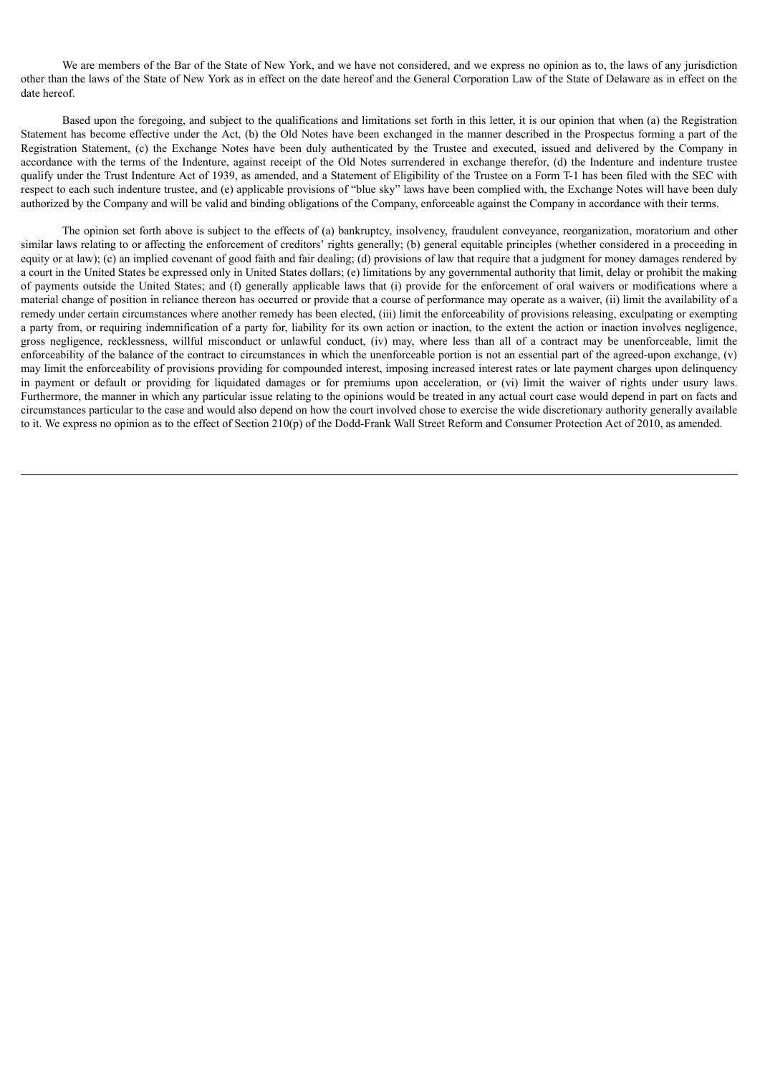We are members of the Bar of the State of New York, and we have not considered, and we express no opinion as to, the laws of any jurisdiction other than the laws of the State of New York as in effect on the date hereof and the General Corporation Law of the State of Delaware as in effect on the date hereof.

Based upon the foregoing, and subject to the qualifications and limitations set forth in this letter, it is our opinion that when (a) the Registration Statement has become effective under the Act, (b) the Old Notes have been exchanged in the manner described in the Prospectus forming a part of the Registration Statement, (c) the Exchange Notes have been duly authenticated by the Trustee and executed, issued and delivered by the Company in accordance with the terms of the Indenture, against receipt of the Old Notes surrendered in exchange therefor, (d) the Indenture and indenture trustee qualify under the Trust Indenture Act of 1939, as amended, and a Statement of Eligibility of the Trustee on a Form T-1 has been filed with the SEC with respect to each such indenture trustee, and (e) applicable provisions of "blue sky" laws have been complied with, the Exchange Notes will have been duly authorized by the Company and will be valid and binding obligations of the Company, enforceable against the Company in accordance with their terms.

The opinion set forth above is subject to the effects of (a) bankruptcy, insolvency, fraudulent conveyance, reorganization, moratorium and other similar laws relating to or affecting the enforcement of creditors' rights generally; (b) general equitable principles (whether considered in a proceeding in equity or at law); (c) an implied covenant of good faith and fair dealing; (d) provisions of law that require that a judgment for money damages rendered by a court in the United States be expressed only in United States dollars; (e) limitations by any governmental authority that limit, delay or prohibit the making of payments outside the United States; and (f) generally applicable laws that (i) provide for the enforcement of oral waivers or modifications where a material change of position in reliance thereon has occurred or provide that a course of performance may operate as a waiver, (ii) limit the availability of a remedy under certain circumstances where another remedy has been elected, (iii) limit the enforceability of provisions releasing, exculpating or exempting a party from, or requiring indemnification of a party for, liability for its own action or inaction, to the extent the action or inaction involves negligence, gross negligence, recklessness, willful misconduct or unlawful conduct, (iv) may, where less than all of a contract may be unenforceable, limit the enforceability of the balance of the contract to circumstances in which the unenforceable portion is not an essential part of the agreed-upon exchange, (v) may limit the enforceability of provisions providing for compounded interest, imposing increased interest rates or late payment charges upon delinquency in payment or default or providing for liquidated damages or for premiums upon acceleration, or (vi) limit the waiver of rights under usury laws. Furthermore, the manner in which any particular issue relating to the opinions would be treated in any actual court case would depend in part on facts and circumstances particular to the case and would also depend on how the court involved chose to exercise the wide discretionary authority generally available to it. We express no opinion as to the effect of Section 210(p) of the Dodd-Frank Wall Street Reform and Consumer Protection Act of 2010, as amended.